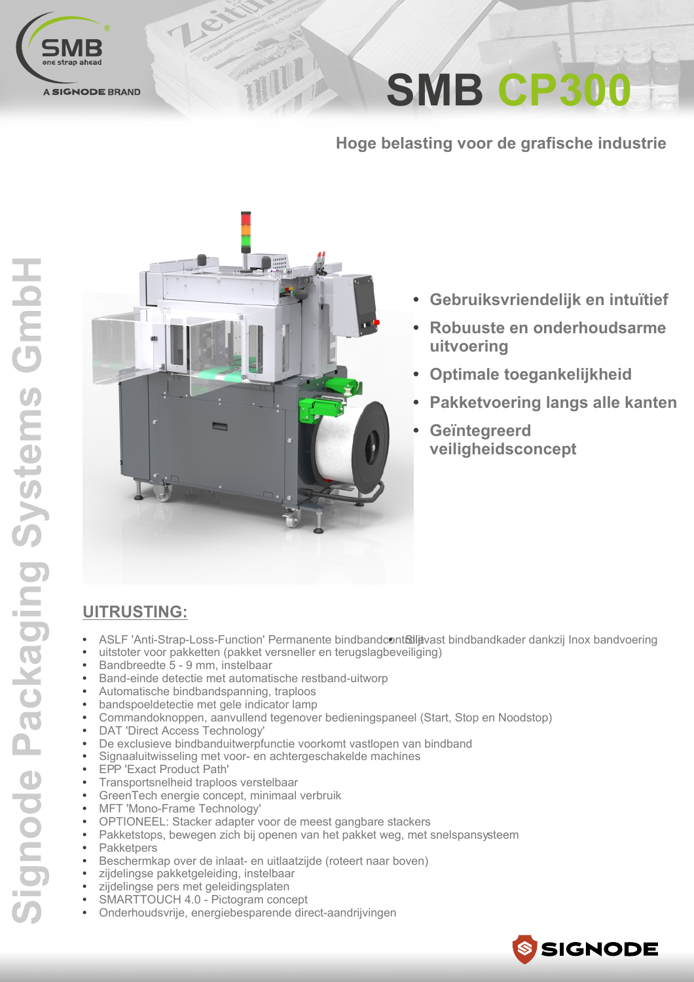

**SMB CP300** 

Hoge belasting voor de grafische industrie



TIIII

- Gebruiksvriendelijk en intuïtief  $\bullet$
- Robuuste en onderhoudsarme uitvoering
- Optimale toegankelijkheid
- Pakketvoering langs alle kanten
- Geïntegreerd  $\bullet$ veiligheidsconcept

## **UITRUSTING:**

- ASLF 'Anti-Strap-Loss-Function' Permanente bindbandcont&litevast bindbandkader dankzij Inox bandvoering
- uitstoter voor pakketten (pakket versneller en terugslagbeveiliging)
- Bandbreedte 5 9 mm, instelbaar
- Band-einde detectie met automatische restband-uitworp
- Automatische bindbandspanning, traploos
- bandspoeldetectie met gele indicator lamp
- Commandoknoppen, aanvullend tegenover bedieningspaneel (Start, Stop en Noodstop)
- DAT 'Direct Access Technology'
- De exclusieve bindbanduitwerpfunctie voorkomt vastlopen van bindband
- Signaaluitwisseling met voor- en achtergeschakelde machines
- EPP 'Exact Product Path'
- Transportsnelheid traploos verstelbaar
- GreenTech energie concept, minimaal verbruik
- MFT 'Mono-Frame Technology'
- OPTIONEEL: Stacker adapter voor de meest gangbare stackers
- Pakketstops, bewegen zich bij openen van het pakket weg, met snelspansysteem
- Pakketpers
- · Beschermkap over de inlaat- en uitlaatzijde (roteert naar boven)
- zijdelingse pakketgeleiding, instelbaar
- zijdelingse pers met geleidingsplaten
- SMARTTOUCH 4.0 Pictogram concept
- Onderhoudsvrije, energiebesparende direct-aandrijvingen